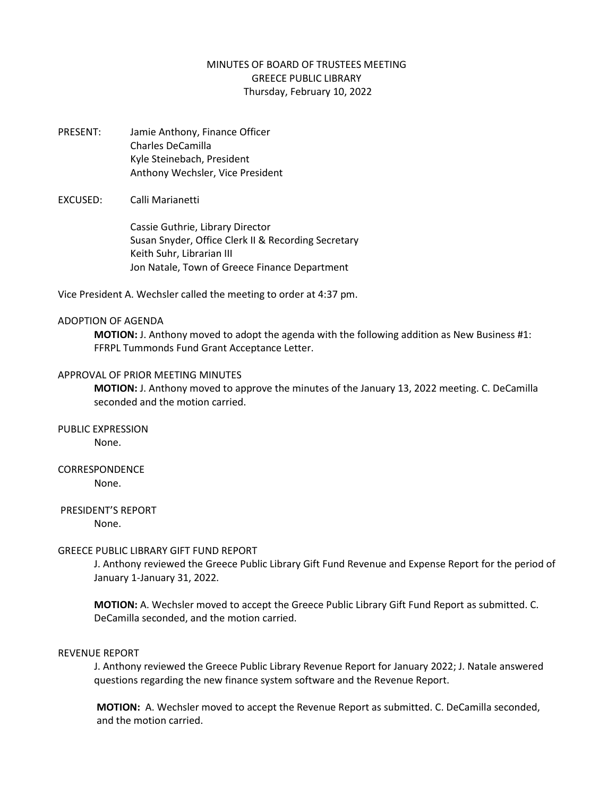# MINUTES OF BOARD OF TRUSTEES MEETING GREECE PUBLIC LIBRARY Thursday, February 10, 2022

PRESENT: Jamie Anthony, Finance Officer Charles DeCamilla Kyle Steinebach, President Anthony Wechsler, Vice President

#### EXCUSED: Calli Marianetti

Cassie Guthrie, Library Director Susan Snyder, Office Clerk II & Recording Secretary Keith Suhr, Librarian III Jon Natale, Town of Greece Finance Department

Vice President A. Wechsler called the meeting to order at 4:37 pm.

#### ADOPTION OF AGENDA

**MOTION:** J. Anthony moved to adopt the agenda with the following addition as New Business #1: FFRPL Tummonds Fund Grant Acceptance Letter.

#### APPROVAL OF PRIOR MEETING MINUTES

**MOTION:** J. Anthony moved to approve the minutes of the January 13, 2022 meeting. C. DeCamilla seconded and the motion carried.

PUBLIC EXPRESSION

None.

# CORRESPONDENCE

None.

# PRESIDENT'S REPORT

None.

# GREECE PUBLIC LIBRARY GIFT FUND REPORT

J. Anthony reviewed the Greece Public Library Gift Fund Revenue and Expense Report for the period of January 1-January 31, 2022.

**MOTION:** A. Wechsler moved to accept the Greece Public Library Gift Fund Report as submitted. C. DeCamilla seconded, and the motion carried.

# REVENUE REPORT

J. Anthony reviewed the Greece Public Library Revenue Report for January 2022; J. Natale answered questions regarding the new finance system software and the Revenue Report.

**MOTION:** A. Wechsler moved to accept the Revenue Report as submitted. C. DeCamilla seconded, and the motion carried.